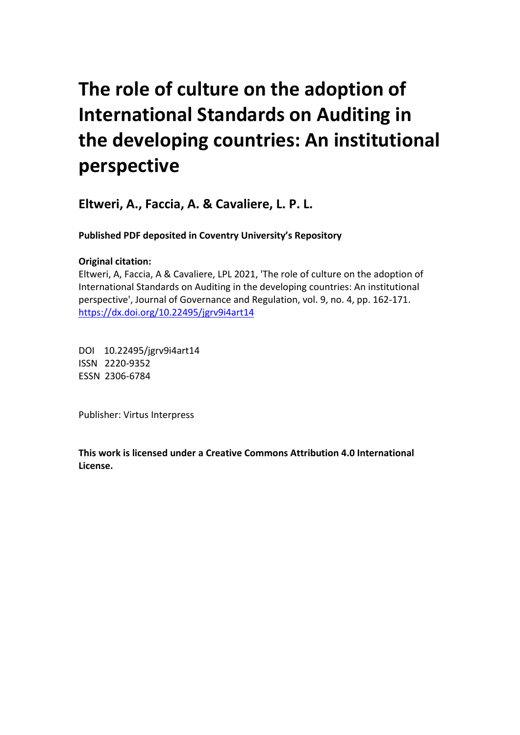# **The role of culture on the adoption of International Standards on Auditing in the developing countries: An institutional perspective**

**Eltweri, A., Faccia, A. & Cavaliere, L. P. L.**

**Published PDF deposited in Coventry University's Repository** 

# **Original citation:**

Eltweri, A, Faccia, A & Cavaliere, LPL 2021, 'The role of culture on the adoption of International Standards on Auditing in the developing countries: An institutional perspective', Journal of Governance and Regulation, vol. 9, no. 4, pp. 162-171. https://dx.doi.org/10.22495/jgrv9i4art14

DOI 10.22495/jgrv9i4art14 ISSN 2220-9352 ESSN 2306-6784

Publisher: Virtus Interpress

**This work is licensed under a Creative Commons Attribution 4.0 International License.**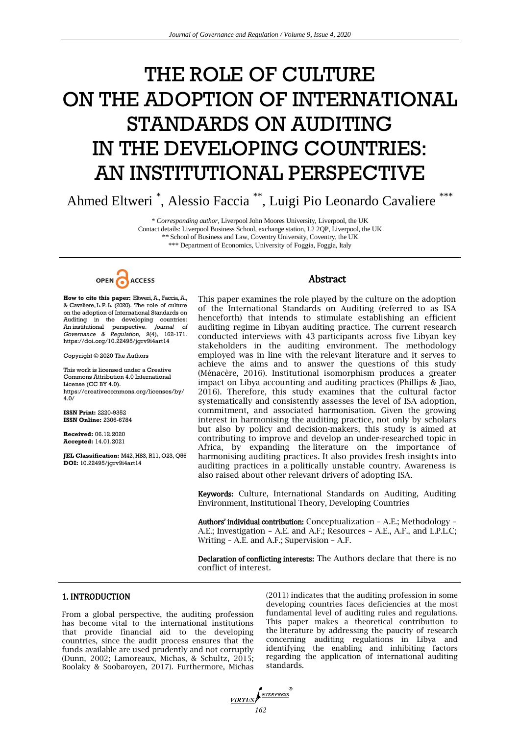# THE ROLE OF CULTURE ON THE ADOPTION OF INTERNATIONAL STANDARDS ON AUDITING IN THE DEVELOPING COUNTRIES: AN INSTITUTIONAL PERSPECTIVE

Ahmed Eltweri<sup>\*</sup>, Alessio Faccia<sup>\*\*</sup>, Luigi Pio Leonardo Cavaliere<sup>\*\*\*</sup>

\* *Corresponding author,* Liverpool John Moores University, Liverpool, the UK Contact details: Liverpool Business School, exchange station, L2 2QP, Liverpool, the UK *\*\** School of Business and Law, Coventry University, Coventry, the UK \*\*\* Department of Economics, University of Foggia, Foggia, Italy



**How to cite this paper:** Eltweri,A., Faccia,A., & Cavaliere, L.P. L. (2020). The role of culture on the adoption of International Standards on Auditing in the developing countries: An institutional perspective. *Journal of Governance & Regulation, 9*(4), 162-171. https://doi.org/10.22495/jgrv9i4art14

Copyright © 2020 The Authors

This work is licensed under a Creative Commons Attribution 4.0 International License (CC BY 4.0). https://creativecommons.org/licenses/by/ 4.0/

**ISSN Print:** 2220-9352 **ISSN Online:** 2306-6784

**Received:** 06.12.2020 **Accepted:** 14.01.2021

**JEL Classification:** M42, H83, R11, O23, Q56 **DOI:** 10.22495/jgrv9i4art14

#### Abstract

This paper examines the role played by the culture on the adoption of the International Standards on Auditing (referred to as ISA henceforth) that intends to stimulate establishing an efficient auditing regime in Libyan auditing practice. The current research conducted interviews with 43 participants across five Libyan key stakeholders in the auditing environment. The methodology employed was in line with the relevant literature and it serves to achieve the aims and to answer the questions of this study (Ménacère, 2016). Institutional isomorphism produces a greater impact on Libya accounting and auditing practices (Phillips & Jiao, 2016). Therefore, this study examines that the cultural factor systematically and consistently assesses the level of ISA adoption, commitment, and associated harmonisation. Given the growing interest in harmonising the auditing practice, not only by scholars but also by policy and decision-makers, this study is aimed at contributing to improve and develop an under-researched topic in Africa, by expanding the literature on the importance of harmonising auditing practices. It also provides fresh insights into auditing practices in a politically unstable country. Awareness is also raised about other relevant drivers of adopting ISA.

Keywords: Culture, International Standards on Auditing, Auditing Environment, Institutional Theory, Developing Countries

Authors' individual contribution: Conceptualization – A.E.; Methodology – A.E.; Investigation – A.E. and A.F.; Resources – A.E., A.F., and L.P.L.C; Writing – A.E. and A.F.; Supervision – A.F.

Declaration of conflicting interests: The Authors declare that there is no conflict of interest.

## 1. INTRODUCTION

From a global perspective, the auditing profession has become vital to the international institutions that provide financial aid to the developing countries, since the audit process ensures that the funds available are used prudently and not corruptly (Dunn, 2002; Lamoreaux, Michas, & Schultz, 2015; Boolaky & Soobaroyen, 2017). Furthermore, Michas

(2011) indicates that the auditing profession in some developing countries faces deficiencies at the most fundamental level of auditing rules and regulations. This paper makes a theoretical contribution to the literature by addressing the paucity of research concerning auditing regulations in Libya and identifying the enabling and inhibiting factors regarding the application of international auditing standards.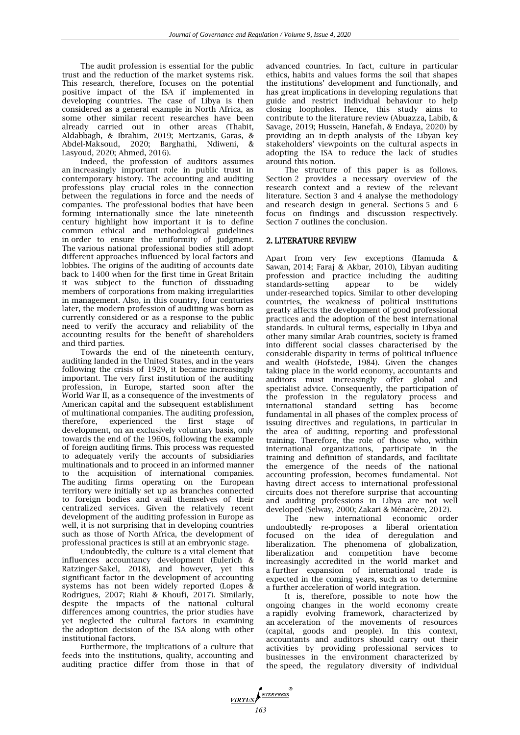The audit profession is essential for the public trust and the reduction of the market systems risk. This research, therefore, focuses on the potential positive impact of the ISA if implemented in developing countries. The case of Libya is then considered as a general example in North Africa, as some other similar recent researches have been already carried out in other areas (Thabit, Aldabbagh, & Ibrahim, 2019; Mertzanis, Garas, & Abdel-Maksoud, 2020; Barghathi, Ndiweni, & Lasyoud, 2020; Ahmed, 2016).

Indeed, the profession of auditors assumes an increasingly important role in public trust in contemporary history. The accounting and auditing professions play crucial roles in the connection between the regulations in force and the needs of companies. The professional bodies that have been forming internationally since the late nineteenth century highlight how important it is to define common ethical and methodological guidelines in order to ensure the uniformity of judgment. The various national professional bodies still adopt different approaches influenced by local factors and lobbies. The origins of the auditing of accounts date back to 1400 when for the first time in Great Britain it was subject to the function of dissuading members of corporations from making irregularities in management. Also, in this country, four centuries later, the modern profession of auditing was born as currently considered or as a response to the public need to verify the accuracy and reliability of the accounting results for the benefit of shareholders and third parties.

Towards the end of the nineteenth century, auditing landed in the United States, and in the years following the crisis of 1929, it became increasingly important. The very first institution of the auditing profession, in Europe, started soon after the World War II, as a consequence of the investments of American capital and the subsequent establishment of multinational companies. The auditing profession, therefore, experienced the first stage of development, on an exclusively voluntary basis, only towards the end of the 1960s, following the example of foreign auditing firms. This process was requested to adequately verify the accounts of subsidiaries multinationals and to proceed in an informed manner to the acquisition of international companies. The auditing firms operating on the European territory were initially set up as branches connected to foreign bodies and avail themselves of their centralized services. Given the relatively recent development of the auditing profession in Europe as well, it is not surprising that in developing countries such as those of North Africa, the development of professional practices is still at an embryonic stage.

Undoubtedly, the culture is a vital element that influences accountancy development (Eulerich & Ratzinger-Sakel, 2018), and however, yet this significant factor in the development of accounting systems has not been widely reported (Lopes & Rodrigues, 2007; Riahi & Khoufi, 2017). Similarly, despite the impacts of the national cultural differences among countries, the prior studies have yet neglected the cultural factors in examining the adoption decision of the ISA along with other institutional factors.

Furthermore, the implications of a culture that feeds into the institutions, quality, accounting and auditing practice differ from those in that of

advanced countries. In fact, culture in particular ethics, habits and values forms the soil that shapes the institutions" development and functionally, and has great implications in developing regulations that guide and restrict individual behaviour to help closing loopholes. Hence, this study aims to contribute to the literature review (Abuazza, Labib, & Savage, 2019; Hussein, Hanefah, & Endaya, 2020) by providing an in-depth analysis of the Libyan key stakeholders" viewpoints on the cultural aspects in adopting the ISA to reduce the lack of studies around this notion.

The structure of this paper is as follows. Section 2 provides a necessary overview of the research context and a review of the relevant literature. Section 3 and 4 analyse the methodology and research design in general. Sections 5 and 6 focus on findings and discussion respectively. Section 7 outlines the conclusion.

### 2. LITERATURE REVIEW

Apart from very few exceptions (Hamuda & Sawan, 2014; Faraj & Akbar, 2010), Libyan auditing profession and practice including the auditing<br>standards-setting appear to be widely standards-setting appear to be widely under-researched topics. Similar to other developing countries, the weakness of political institutions greatly affects the development of good professional practices and the adoption of the best international standards. In cultural terms, especially in Libya and other many similar Arab countries, society is framed into different social classes characterised by the considerable disparity in terms of political influence and wealth (Hofstede, 1984). Given the changes taking place in the world economy, accountants and auditors must increasingly offer global and specialist advice. Consequently, the participation of the profession in the regulatory process and international standard setting has become fundamental in all phases of the complex process of issuing directives and regulations, in particular in the area of auditing, reporting and professional training. Therefore, the role of those who, within international organizations, participate in the training and definition of standards, and facilitate the emergence of the needs of the national accounting profession, becomes fundamental. Not having direct access to international professional circuits does not therefore surprise that accounting and auditing professions in Libya are not well developed (Selway, 2000; Zakari & Ménacère, 2012).

The new international economic order undoubtedly re-proposes a liberal orientation focused on the idea of deregulation and liberalization. The phenomena of globalization, liberalization and competition have increasingly accredited in the world market and a further expansion of international trade is expected in the coming years, such as to determine a further acceleration of world integration.

It is, therefore, possible to note how the ongoing changes in the world economy create a rapidly evolving framework, characterized by an acceleration of the movements of resources (capital, goods and people). In this context, accountants and auditors should carry out their activities by providing professional services to businesses in the environment characterized by the speed, the regulatory diversity of individual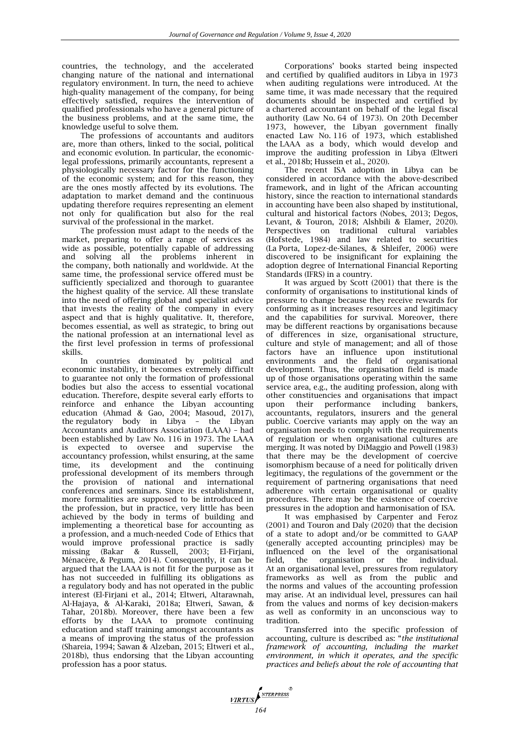countries, the technology, and the accelerated changing nature of the national and international regulatory environment. In turn, the need to achieve high-quality management of the company, for being effectively satisfied, requires the intervention of qualified professionals who have a general picture of the business problems, and at the same time, the knowledge useful to solve them.

The professions of accountants and auditors are, more than others, linked to the social, political and economic evolution. In particular, the economiclegal professions, primarily accountants, represent a physiologically necessary factor for the functioning of the economic system; and for this reason, they are the ones mostly affected by its evolutions. The adaptation to market demand and the continuous updating therefore requires representing an element not only for qualification but also for the real survival of the professional in the market.

The profession must adapt to the needs of the market, preparing to offer a range of services as wide as possible, potentially capable of addressing and solving all the problems inherent in the company, both nationally and worldwide. At the same time, the professional service offered must be sufficiently specialized and thorough to guarantee the highest quality of the service. All these translate into the need of offering global and specialist advice that invests the reality of the company in every aspect and that is highly qualitative. It, therefore, becomes essential, as well as strategic, to bring out the national profession at an international level as the first level profession in terms of professional skills.

In countries dominated by political and economic instability, it becomes extremely difficult to guarantee not only the formation of professional bodies but also the access to essential vocational education. Therefore, despite several early efforts to reinforce and enhance the Libyan accounting education (Ahmad & Gao, 2004; Masoud, 2017), the regulatory body in Libya – the Libyan Accountants and Auditors Association (LAAA) – had been established by Law No. 116 in 1973. The LAAA is expected to oversee and supervise the accountancy profession, whilst ensuring, at the same time, its development and the continuing professional development of its members through the provision of national and international conferences and seminars. Since its establishment, more formalities are supposed to be introduced in the profession, but in practice, very little has been achieved by the body in terms of building and implementing a theoretical base for accounting as a profession, and a much-needed Code of Ethics that would improve professional practice is sadly missing (Bakar & Russell, 2003; El-Firjani, Ménacère, & Pegum, 2014). Consequently, it can be argued that the LAAA is not fit for the purpose as it has not succeeded in fulfilling its obligations as a regulatory body and has not operated in the public interest (El-Firjani et al., 2014; Eltweri, Altarawnah, Al-Hajaya, & Al-Karaki, 2018a; Eltweri, Sawan, & Tahar, 2018b). Moreover, there have been a few efforts by the LAAA to promote continuing education and staff training amongst accountants as a means of improving the status of the profession (Shareia, 1994; Sawan & Alzeban, 2015; Eltweri et al., 2018b), thus endorsing that the Libyan accounting profession has a poor status.

Corporations" books started being inspected and certified by qualified auditors in Libya in 1973 when auditing regulations were introduced. At the same time, it was made necessary that the required documents should be inspected and certified by a chartered accountant on behalf of the legal fiscal authority (Law No. 64 of 1973). On 20th December 1973, however, the Libyan government finally enacted Law No. 116 of 1973, which established the LAAA as a body, which would develop and improve the auditing profession in Libya (Eltweri et al., 2018b; Hussein et al., 2020).

The recent ISA adoption in Libya can be considered in accordance with the above-described framework, and in light of the African accounting history, since the reaction to international standards in accounting have been also shaped by institutional, cultural and historical factors (Nobes, 2013; Degos, Levant, & Touron, 2018; Alshbili & Elamer, 2020). Perspectives on traditional cultural variables (Hofstede, 1984) and law related to securities (La Porta, Lopez-de-Silanes, & Shleifer, 2006) were discovered to be insignificant for explaining the adoption degree of International Financial Reporting Standards (IFRS) in a country.

It was argued by Scott (2001) that there is the conformity of organisations to institutional kinds of pressure to change because they receive rewards for conforming as it increases resources and legitimacy and the capabilities for survival. Moreover, there may be different reactions by organisations because of differences in size, organisational structure, culture and style of management; and all of those factors have an influence upon institutional environments and the field of organisational development. Thus, the organisation field is made up of those organisations operating within the same service area, e.g., the auditing profession, along with other constituencies and organisations that impact upon their performance including bankers, accountants, regulators, insurers and the general public. Coercive variants may apply on the way an organisation needs to comply with the requirements of regulation or when organisational cultures are merging. It was noted by DiMaggio and Powell (1983) that there may be the development of coercive isomorphism because of a need for politically driven legitimacy, the regulations of the government or the requirement of partnering organisations that need adherence with certain organisational or quality procedures. There may be the existence of coercive pressures in the adoption and harmonisation of ISA.

It was emphasised by Carpenter and Feroz (2001) and Touron and Daly (2020) that the decision of a state to adopt and/or be committed to GAAP (generally accepted accounting principles) may be influenced on the level of the organisational field, the organisation or the individual. At an organisational level, pressures from regulatory frameworks as well as from the public and the norms and values of the accounting profession may arise. At an individual level, pressures can hail from the values and norms of key decision-makers as well as conformity in an unconscious way to tradition.

Transferred into the specific profession of accounting, culture is described as: "*the institutional framework of accounting, including the market environment, in which it operates, and the specific practices and beliefs about the role of accounting that* 

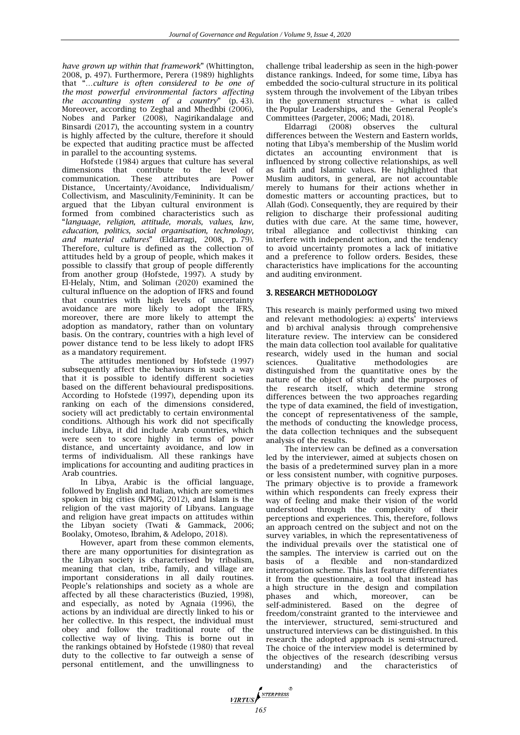*have grown up within that framework*" (Whittington, 2008, p. 497). Furthermore, Perera (1989) highlights that "*…culture is often considered to be one of the most powerful environmental factors affecting the accounting system of a country*" (p. 43). Moreover, according to Zeghal and Mhedhbi (2006), Nobes and Parker (2008), Nagirikandalage and Binsardi (2017), the accounting system in a country is highly affected by the culture, therefore it should be expected that auditing practice must be affected in parallel to the accounting systems.

Hofstede (1984) argues that culture has several dimensions that contribute to the level of communication. These attributes are Power These attributes are Distance, Uncertainty/Avoidance, Individualism/ Collectivism, and Masculinity/Femininity. It can be argued that the Libyan cultural environment is formed from combined characteristics such as "*language, religion, attitude, morals, values, law, education, politics, social organisation, technology, and material cultures*" (Eldarragi, 2008, p. 79). Therefore, culture is defined as the collection of attitudes held by a group of people, which makes it possible to classify that group of people differently from another group (Hofstede, 1997). A study by El-Helaly, Ntim, and Soliman (2020) examined the cultural influence on the adoption of IFRS and found that countries with high levels of uncertainty avoidance are more likely to adopt the IFRS, moreover, there are more likely to attempt the adoption as mandatory, rather than on voluntary basis. On the contrary, countries with a high level of power distance tend to be less likely to adopt IFRS as a mandatory requirement.

The attitudes mentioned by Hofstede (1997) subsequently affect the behaviours in such a way that it is possible to identify different societies based on the different behavioural predispositions. According to Hofstede (1997), depending upon its ranking on each of the dimensions considered, society will act predictably to certain environmental conditions. Although his work did not specifically include Libya, it did include Arab countries, which were seen to score highly in terms of power distance, and uncertainty avoidance, and low in terms of individualism. All these rankings have implications for accounting and auditing practices in Arab countries.

In Libya, Arabic is the official language, followed by English and Italian, which are sometimes spoken in big cities (KPMG, 2012), and Islam is the religion of the vast majority of Libyans. Language and religion have great impacts on attitudes within the Libyan society (Twati & Gammack, 2006; Boolaky, Omoteso, Ibrahim, & Adelopo, 2018).

However, apart from these common elements, there are many opportunities for disintegration as the Libyan society is characterised by tribalism, meaning that clan, tribe, family, and village are important considerations in all daily routines. People"s relationships and society as a whole are affected by all these characteristics (Buzied, 1998), and especially, as noted by Agnaia (1996), the actions by an individual are directly linked to his or her collective. In this respect, the individual must obey and follow the traditional route of the collective way of living. This is borne out in the rankings obtained by Hofstede (1980) that reveal duty to the collective to far outweigh a sense of personal entitlement, and the unwillingness to

challenge tribal leadership as seen in the high-power distance rankings. Indeed, for some time, Libya has embedded the socio-cultural structure in its political system through the involvement of the Libyan tribes in the government structures – what is called the Popular Leaderships, and the General People"s Committees (Pargeter, 2006; Madi, 2018).

Eldarragi (2008) observes the cultural differences between the Western and Eastern worlds, noting that Libya"s membership of the Muslim world dictates an accounting environment that is influenced by strong collective relationships, as well as faith and Islamic values. He highlighted that Muslim auditors, in general, are not accountable merely to humans for their actions whether in domestic matters or accounting practices, but to Allah (God). Consequently, they are required by their religion to discharge their professional auditing duties with due care. At the same time, however, tribal allegiance and collectivist thinking can interfere with independent action, and the tendency to avoid uncertainty promotes a lack of initiative and a preference to follow orders. Besides, these characteristics have implications for the accounting and auditing environment.

### 3. RESEARCH METHODOLOGY

This research is mainly performed using two mixed and relevant methodologies: a) experts' interviews and b) archival analysis through comprehensive literature review. The interview can be considered the main data collection tool available for qualitative research, widely used in the human and social sciences. Qualitative methodologies are sciences. Qualitative methodologies are distinguished from the quantitative ones by the nature of the object of study and the purposes of the research itself, which determine strong differences between the two approaches regarding the type of data examined, the field of investigation, the concept of representativeness of the sample, the methods of conducting the knowledge process, the data collection techniques and the subsequent analysis of the results.

The interview can be defined as a conversation led by the interviewer, aimed at subjects chosen on the basis of a predetermined survey plan in a more or less consistent number, with cognitive purposes. The primary objective is to provide a framework within which respondents can freely express their way of feeling and make their vision of the world understood through the complexity of their perceptions and experiences. This, therefore, follows an approach centred on the subject and not on the survey variables, in which the representativeness of the individual prevails over the statistical one of the samples. The interview is carried out on the basis of a flexible and non-standardized interrogation scheme. This last feature differentiates it from the questionnaire, a tool that instead has a high structure in the design and compilation phases and which, moreover, can be self-administered. Based on the degree of freedom/constraint granted to the interviewee and the interviewer, structured, semi-structured and unstructured interviews can be distinguished. In this research the adopted approach is semi-structured. The choice of the interview model is determined by the objectives of the research (describing versus understanding) and the characteristics of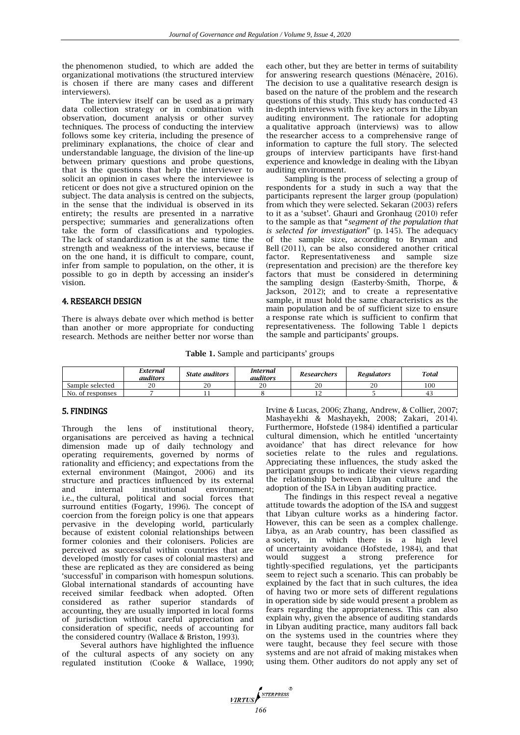the phenomenon studied, to which are added the organizational motivations (the structured interview is chosen if there are many cases and different interviewers).

The interview itself can be used as a primary data collection strategy or in combination with observation, document analysis or other survey techniques. The process of conducting the interview follows some key criteria, including the presence of preliminary explanations, the choice of clear and understandable language, the division of the line-up between primary questions and probe questions, that is the questions that help the interviewer to solicit an opinion in cases where the interviewee is reticent or does not give a structured opinion on the subject. The data analysis is centred on the subjects, in the sense that the individual is observed in its entirety; the results are presented in a narrative perspective; summaries and generalizations often take the form of classifications and typologies. The lack of standardization is at the same time the strength and weakness of the interviews, because if on the one hand, it is difficult to compare, count, infer from sample to population, on the other, it is possible to go in depth by accessing an insider"s vision.

#### 4. RESEARCH DESIGN

There is always debate over which method is better than another or more appropriate for conducting research. Methods are neither better nor worse than

each other, but they are better in terms of suitability for answering research questions (Ménacère, 2016). The decision to use a qualitative research design is based on the nature of the problem and the research questions of this study. This study has conducted 43 in-depth interviews with five key actors in the Libyan auditing environment. The rationale for adopting a qualitative approach (interviews) was to allow the researcher access to a comprehensive range of information to capture the full story. The selected groups of interview participants have first-hand experience and knowledge in dealing with the Libyan auditing environment.

Sampling is the process of selecting a group of respondents for a study in such a way that the participants represent the larger group (population) from which they were selected. Sekaran (2003) refers to it as a "subset". Ghauri and Gronhaug (2010) refer to the sample as that "*segment of the population that is selected for investigation*" (p. 145). The adequacy of the sample size, according to Bryman and Bell (2011), can be also considered another critical factor. Representativeness and sample size (representation and precision) are the therefore key factors that must be considered in determining the sampling design (Easterby-Smith, Thorpe, & Jackson, 2012); and to create a representative sample, it must hold the same characteristics as the main population and be of sufficient size to ensure a response rate which is sufficient to confirm that representativeness. The following Table 1 depicts the sample and participants' groups.

**Table 1.** Sample and participants" groups

|                  | External<br><i>auditors</i> | State auditors | Internal<br>auditors | Researchers | Reaulators       | <b>Total</b> |
|------------------|-----------------------------|----------------|----------------------|-------------|------------------|--------------|
| Sample selected  | റ                           | ററ             | 20                   | ററ<br>∠u    | $\sim$<br>$\sim$ | 100          |
| No. of responses |                             | <b>. .</b>     |                      | ∸∸          |                  |              |

#### 5. FINDINGS

Through the lens of institutional theory, organisations are perceived as having a technical dimension made up of daily technology and operating requirements, governed by norms of rationality and efficiency; and expectations from the external environment (Maingot, 2006) and its structure and practices influenced by its external and internal institutional environment; i.e., the cultural, political and social forces that surround entities (Fogarty, 1996). The concept of coercion from the foreign policy is one that appears pervasive in the developing world, particularly because of existent colonial relationships between former colonies and their colonisers. Policies are perceived as successful within countries that are developed (mostly for cases of colonial masters) and these are replicated as they are considered as being "successful" in comparison with homespun solutions. Global international standards of accounting have received similar feedback when adopted. Often considered as rather superior standards of accounting, they are usually imported in local forms of jurisdiction without careful appreciation and consideration of specific, needs of accounting for the considered country (Wallace & Briston, 1993).

Several authors have highlighted the influence of the cultural aspects of any society on any regulated institution (Cooke & Wallace, 1990; Irvine & Lucas, 2006; Zhang, Andrew, & Collier, 2007; Mashayekhi & Mashayekh, 2008; Zakari, 2014). Furthermore, Hofstede (1984) identified a particular cultural dimension, which he entitled "uncertainty avoidance" that has direct relevance for how societies relate to the rules and regulations. Appreciating these influences, the study asked the participant groups to indicate their views regarding the relationship between Libyan culture and the adoption of the ISA in Libyan auditing practice.

The findings in this respect reveal a negative attitude towards the adoption of the ISA and suggest that Libyan culture works as a hindering factor. However, this can be seen as a complex challenge. Libya, as an Arab country, has been classified as a society, in which there is a high level of uncertainty avoidance (Hofstede, 1984), and that would suggest a strong preference for tightly-specified regulations, yet the participants seem to reject such a scenario. This can probably be explained by the fact that in such cultures, the idea of having two or more sets of different regulations in operation side by side would present a problem as fears regarding the appropriateness. This can also explain why, given the absence of auditing standards in Libyan auditing practice, many auditors fall back on the systems used in the countries where they were taught, because they feel secure with those systems and are not afraid of making mistakes when using them. Other auditors do not apply any set of

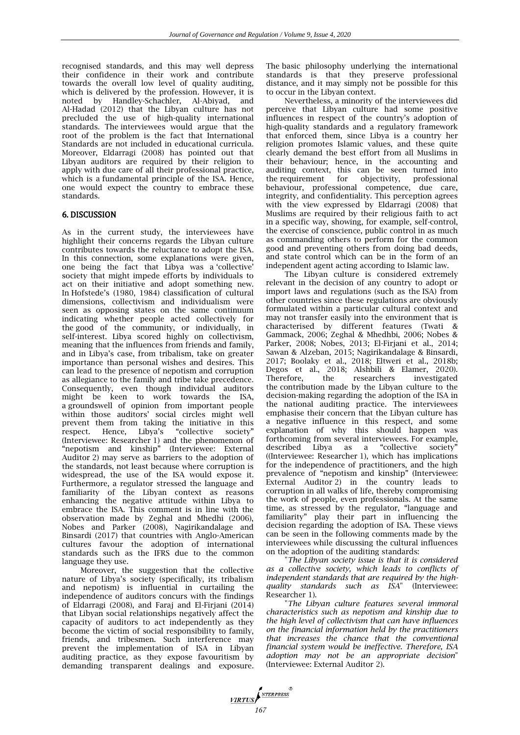recognised standards, and this may well depress their confidence in their work and contribute towards the overall low level of quality auditing, which is delivered by the profession. However, it is noted by Handley-Schachler, Al-Abiyad, and Al-Hadad (2012) that the Libyan culture has not precluded the use of high-quality international standards. The interviewees would argue that the root of the problem is the fact that International Standards are not included in educational curricula. Moreover, Eldarragi (2008) has pointed out that Libyan auditors are required by their religion to apply with due care of all their professional practice, which is a fundamental principle of the ISA. Hence, one would expect the country to embrace these standards.

### 6. DISCUSSION

As in the current study, the interviewees have highlight their concerns regards the Libyan culture contributes towards the reluctance to adopt the ISA. In this connection, some explanations were given, one being the fact that Libya was a "collective" society that might impede efforts by individuals to act on their initiative and adopt something new. In Hofstede"s (1980, 1984) classification of cultural dimensions, collectivism and individualism were seen as opposing states on the same continuum indicating whether people acted collectively for the good of the community, or individually, in self-interest. Libya scored highly on collectivism, meaning that the influences from friends and family, and in Libya"s case, from tribalism, take on greater importance than personal wishes and desires. This can lead to the presence of nepotism and corruption as allegiance to the family and tribe take precedence. Consequently, even though individual auditors might be keen to work towards the ISA, a groundswell of opinion from important people within those auditors" social circles might well prevent them from taking the initiative in this<br>respect. Hence, Libya's "collective society" respect. Hence, Libya's "collective (Interviewee: Researcher 1) and the phenomenon of "nepotism and kinship" (Interviewee: External Auditor 2) may serve as barriers to the adoption of the standards, not least because where corruption is widespread, the use of the ISA would expose it. Furthermore, a regulator stressed the language and familiarity of the Libyan context as reasons enhancing the negative attitude within Libya to embrace the ISA. This comment is in line with the observation made by Zeghal and Mhedhi (2006), Nobes and Parker (2008), Nagirikandalage and Binsardi (2017) that countries with Anglo-American cultures favour the adoption of international standards such as the IFRS due to the common language they use.

Moreover, the suggestion that the collective nature of Libya"s society (specifically, its tribalism and nepotism) is influential in curtailing the independence of auditors concurs with the findings of Eldarragi (2008), and Faraj and El-Firjani (2014) that Libyan social relationships negatively affect the capacity of auditors to act independently as they become the victim of social responsibility to family, friends, and tribesmen. Such interference may prevent the implementation of ISA in Libyan auditing practice, as they expose favouritism by demanding transparent dealings and exposure. The basic philosophy underlying the international standards is that they preserve professional distance, and it may simply not be possible for this to occur in the Libyan context.

Nevertheless, a minority of the interviewees did perceive that Libyan culture had some positive influences in respect of the country"s adoption of high-quality standards and a regulatory framework that enforced them, since Libya is a country her religion promotes Islamic values, and these quite clearly demand the best effort from all Muslims in their behaviour; hence, in the accounting and auditing context, this can be seen turned into<br>the requirement for objectivity, professional objectivity, professional behaviour, professional competence, due care, integrity, and confidentiality. This perception agrees with the view expressed by Eldarragi (2008) that Muslims are required by their religious faith to act in a specific way, showing, for example, self-control, the exercise of conscience, public control in as much as commanding others to perform for the common good and preventing others from doing bad deeds, and state control which can be in the form of an independent agent acting according to Islamic law.

The Libyan culture is considered extremely relevant in the decision of any country to adopt or import laws and regulations (such as the ISA) from other countries since these regulations are obviously formulated within a particular cultural context and may not transfer easily into the environment that is characterised by different features (Twati & Gammack, 2006; Zeghal & Mhedhbi, 2006; Nobes & Parker, 2008; Nobes, 2013; El-Firjani et al., 2014; Sawan & Alzeban, 2015; Nagirikandalage & Binsardi, 2017; Boolaky et al., 2018; Eltweri et al., 2018b; Degos et al., 2018; Alshbili & Elamer, 2020).<br>Therefore, the researchers investigated the researchers investigated the contribution made by the Libyan culture to the decision-making regarding the adoption of the ISA in the national auditing practice. The interviewees emphasise their concern that the Libyan culture has a negative influence in this respect, and some explanation of why this should happen was forthcoming from several interviewees. For example, described Libya as a "collective society" ((Interviewee: Researcher 1), which has implications for the independence of practitioners, and the high prevalence of "nepotism and kinship" (Interviewee: External Auditor 2) in the country leads to corruption in all walks of life, thereby compromising the work of people, even professionals. At the same time, as stressed by the regulator, "language and familiarity" play their part in influencing the decision regarding the adoption of ISA. These views can be seen in the following comments made by the interviewees while discussing the cultural influences on the adoption of the auditing standards:

"*The Libyan society issue is that it is considered as a collective society, which leads to conflicts of independent standards that are required by the highquality standards such as ISA*" (Interviewee: Researcher 1).

"*The Libyan culture features several immoral characteristics such as nepotism and kinship due to the high level of collectivism that can have influences on the financial information held by the practitioners that increases the chance that the conventional financial system would be ineffective. Therefore, ISA adoption may not be an appropriate decision*" (Interviewee: External Auditor 2).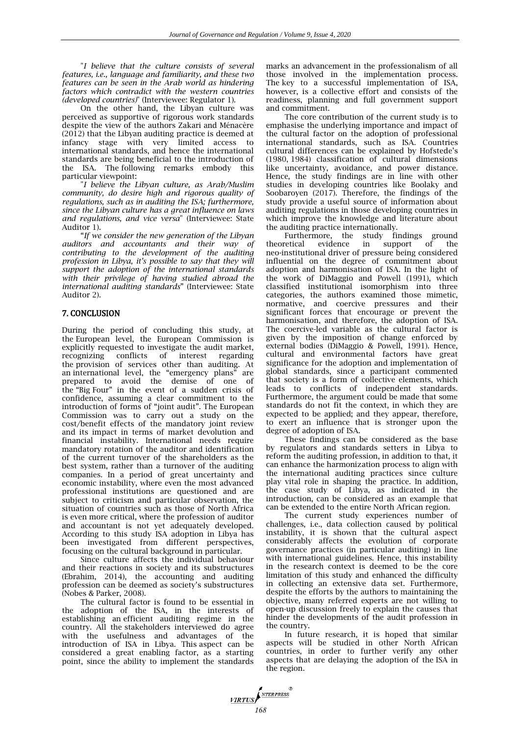"*I believe that the culture consists of several features, i.e., language and familiarity, and these two features can be seen in the Arab world as hindering factors which contradict with the western countries (developed countries)*" (Interviewee: Regulator 1).

On the other hand, the Libyan culture was perceived as supportive of rigorous work standards despite the view of the authors Zakari and Ménacère (2012) that the Libyan auditing practice is deemed at infancy stage with very limited access to international standards, and hence the international standards are being beneficial to the introduction of the ISA. The following remarks embody this particular viewpoint:

"*I believe the Libyan culture, as Arab/Muslim community, do desire high and rigorous quality of regulations, such as in auditing the ISA; furthermore, since the Libyan culture has a great influence on laws and regulations, and vice versa*" (Interviewee: State Auditor 1).

"*If we consider the new generation of the Libyan auditors and accountants and their way of contributing to the development of the auditing profession in Libya, it's possible to say that they will support the adoption of the international standards with their privilege of having studied abroad the international auditing standards*" (Interviewee: State Auditor 2).

#### 7. CONCLUSION

During the period of concluding this study, at the European level, the European Commission is explicitly requested to investigate the audit market, recognizing conflicts of interest regarding the provision of services other than auditing. At an international level, the "emergency plans" are prepared to avoid the demise of one of the "Big Four" in the event of a sudden crisis of confidence, assuming a clear commitment to the introduction of forms of "joint audit". The European Commission was to carry out a study on the cost/benefit effects of the mandatory joint review and its impact in terms of market devolution and financial instability. International needs require mandatory rotation of the auditor and identification of the current turnover of the shareholders as the best system, rather than a turnover of the auditing companies. In a period of great uncertainty and economic instability, where even the most advanced professional institutions are questioned and are subject to criticism and particular observation, the situation of countries such as those of North Africa is even more critical, where the profession of auditor and accountant is not yet adequately developed. According to this study ISA adoption in Libya has been investigated from different perspectives, focusing on the cultural background in particular.

Since culture affects the individual behaviour and their reactions in society and its substructures (Ebrahim, 2014), the accounting and auditing profession can be deemed as society"s substructures (Nobes & Parker, 2008).

The cultural factor is found to be essential in the adoption of the ISA, in the interests of establishing an efficient auditing regime in the country. All the stakeholders interviewed do agree with the usefulness and advantages of the introduction of ISA in Libya. This aspect can be considered a great enabling factor, as a starting point, since the ability to implement the standards

marks an advancement in the professionalism of all those involved in the implementation process. The key to a successful implementation of ISA, however, is a collective effort and consists of the readiness, planning and full government support and commitment.

The core contribution of the current study is to emphasise the underlying importance and impact of the cultural factor on the adoption of professional international standards, such as ISA. Countries cultural differences can be explained by Hofstede"s (1980, 1984) classification of cultural dimensions like uncertainty, avoidance, and power distance. Hence, the study findings are in line with other studies in developing countries like Boolaky and Soobaroyen (2017). Therefore, the findings of the study provide a useful source of information about auditing regulations in those developing countries in which improve the knowledge and literature about the auditing practice internationally.

Furthermore, the study findings ground retical evidence in support of the theoretical evidence in support of the neo-institutional driver of pressure being considered influential on the degree of commitment about adoption and harmonisation of ISA. In the light of the work of DiMaggio and Powell (1991), which classified institutional isomorphism into three categories, the authors examined those mimetic, normative, and coercive pressures and their significant forces that encourage or prevent the harmonisation, and therefore, the adoption of ISA. The coercive-led variable as the cultural factor is given by the imposition of change enforced by external bodies (DiMaggio & Powell, 1991). Hence, cultural and environmental factors have great significance for the adoption and implementation of global standards, since a participant commented that society is a form of collective elements, which leads to conflicts of independent standards. Furthermore, the argument could be made that some standards do not fit the context, in which they are expected to be applied; and they appear, therefore, to exert an influence that is stronger upon the degree of adoption of ISA.

These findings can be considered as the base by regulators and standards setters in Libya to reform the auditing profession, in addition to that, it can enhance the harmonization process to align with the international auditing practices since culture play vital role in shaping the practice. In addition, the case study of Libya, as indicated in the introduction, can be considered as an example that can be extended to the entire North African region.

The current study experiences number of challenges, i.e., data collection caused by political instability, it is shown that the cultural aspect considerably affects the evolution of corporate governance practices (in particular auditing) in line with international guidelines. Hence, this instability in the research context is deemed to be the core limitation of this study and enhanced the difficulty in collecting an extensive data set. Furthermore, despite the efforts by the authors to maintaining the objective, many referred experts are not willing to open-up discussion freely to explain the causes that hinder the developments of the audit profession in the country.

In future research, it is hoped that similar aspects will be studied in other North African countries, in order to further verify any other aspects that are delaying the adoption of the ISA in the region.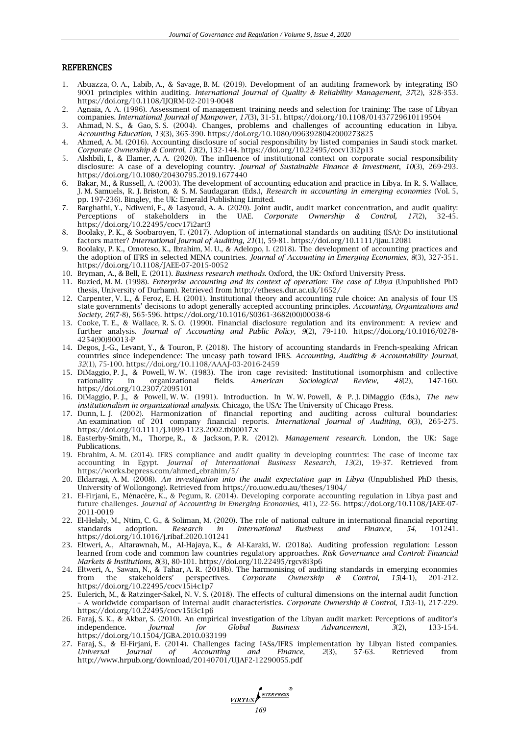#### REFERENCES

- 1. Abuazza, O. A., Labib, A., & Savage, B. M. (2019). Development of an auditing framework by integrating ISO 9001 principles within auditing. *International Journal of Quality & Reliability Management*, *37*(2), 328-353. https://doi.org/10.1108/IJQRM-02-2019-0048
- 2. Agnaia, A. A. (1996). Assessment of management training needs and selection for training: The case of Libyan companies. *International Journal of Manpower*, *17*(3), 31-51. https://doi.org/10.1108/01437729610119504
- 3. Ahmad, N. S., & Gao, S. S. (2004). Changes, problems and challenges of accounting education in Libya. *Accounting Education*, *13*(3), 365-390. https://doi.org/10.1080/0963928042000273825
- 4. Ahmed, A. M. (2016). Accounting disclosure of social responsibility by listed companies in Saudi stock market. *Corporate Ownership & Control*, *13*(2), 132-144. https://doi.org/10.22495/cocv13i2p13
- 5. Alshbili, I., & Elamer, A. A. (2020). The influence of institutional context on corporate social responsibility disclosure: A case of a developing country. *Journal of Sustainable Finance & Investment*, *10*(3), 269-293. https://doi.org/10.1080/20430795.2019.1677440
- 6. Bakar, M., & Russell, A. (2003). The development of accounting education and practice in Libya. In R. S. Wallace, J. M. Samuels, R. J. Briston, & S. M. Saudagaran (Eds.), *Research in accounting in emerging economies* (Vol. 5, pp. 197-236). Bingley, the UK: Emerald Publishing Limited.
- 7. Barghathi, Y., Ndiweni, E., & Lasyoud, A. A. (2020). Joint audit, audit market concentration, and audit quality:<br>Perceptions of stakeholders in the UAE. *Corporate Ownership & Control*, 17(2), 32-45. Perceptions of stakeholders in the UAE. *Corporate Ownership & Control, 17*(2), 32-45. https://doi.org/10.22495/cocv17i2art3
- 8. Boolaky, P. K., & Soobaroyen, T. (2017). Adoption of international standards on auditing (ISA): Do institutional factors matter? *International Journal of Auditing*, *21*(1), 59-81. https://doi.org/10.1111/ijau.12081
- 9. Boolaky, P. K., Omoteso, K., Ibrahim, M. U., & Adelopo, I. (2018). The development of accounting practices and the adoption of IFRS in selected MENA countries. *Journal of Accounting in Emerging Economies*, *8*(3), 327-351. https://doi.org/10.1108/JAEE-07-2015-0052
- 10. Bryman, A., & Bell, E. (2011). *Business research methods*. Oxford, the UK: Oxford University Press.
- 11. Buzied, M. M. (1998). *Enterprise accounting and its context of operation: The case of Libya* (Unpublished PhD thesis, University of Durham). Retrieved from http://etheses.dur.ac.uk/1652/
- 12. Carpenter, V. L., & Feroz, E. H. (2001). Institutional theory and accounting rule choice: An analysis of four US state governments" decisions to adopt generally accepted accounting principles. *Accounting, Organizations and Society, 26*(7-8), 565-596. https://doi.org/10.1016/S0361-3682(00)00038-6
- 13. Cooke, T. E., & Wallace, R. S. O. (1990). Financial disclosure regulation and its environment: A review and further analysis. *Journal of Accounting and Public Policy*, *9*(2), 79-110. https://doi.org/10.1016/0278- 4254(90)90013-P
- 14. Degos, J.-G., Levant, Y., & Touron, P. (2018). The history of accounting standards in French-speaking African countries since independence: The uneasy path toward IFRS. *Accounting, Auditing & Accountability Journal*, *32*(1), 75-100. https://doi.org/10.1108/AAAJ-03-2016-2459
- 15. DiMaggio, P. J., & Powell, W. W. (1983). The iron cage revisited: Institutional isomorphism and collective rationality in organizational fields. American Sociological Review, 48(2), 147-160. rationality in organizational fields. *American Sociological Review*, *48*(2), 147-160. https://doi.org/10.2307/2095101
- 16. DiMaggio, P. J., & Powell, W. W. (1991). Introduction. In W. W. Powell, & P. J. DiMaggio (Eds.), *The new institutionalism in organizational analysis*. Chicago, the USA: The University of Chicago Press.
- 17. Dunn, L. J. (2002). Harmonization of financial reporting and auditing across cultural boundaries: An examination of 201 company financial reports. *International Journal of Auditing*, *6*(3), 265-275. https://doi.org/10.1111/j.1099-1123.2002.tb00017.x
- 18. Easterby-Smith, M., Thorpe, R., & Jackson, P. R. (2012). *Management research*. London, the UK: Sage Publications.
- 19. Ebrahim, A. M. (2014). IFRS compliance and audit quality in developing countries: The case of income tax accounting in Egypt. *Journal of International Business Research*, *13*(2), 19-37. Retrieved from https://works.bepress.com/ahmed\_ebrahim/5/
- 20. Eldarragi, A. M. (2008). *An investigation into the audit expectation gap in Libya* (Unpublished PhD thesis, University of Wollongong). Retrieved from https://ro.uow.edu.au/theses/1904/
- 21. El-Firjani, E., Ménacère, K., & Pegum, R. (2014). Developing corporate accounting regulation in Libya past and future challenges. *Journal of Accounting in Emerging Economies*, *4*(1), 22-56. https://doi.org/10.1108/JAEE-07- 2011-0019
- 22. El-Helaly, M., Ntim, C. G., & Soliman, M. (2020). The role of national culture in international financial reporting standards adoption. Research in International Business and Finance, 54, 101241. standards adoption. *Research in International Business and Finance*, *54*, 101241. https://doi.org/10.1016/j.ribaf.2020.101241
- 23. Eltweri, A., Altarawnah, M., Al-Hajaya, K., & Al-Karaki, W. (2018a). Auditing profession regulation: Lesson learned from code and common law countries regulatory approaches. *Risk Governance and Control: Financial Markets & Institutions, 8*(3), 80-101. https://doi.org/10.22495/rgcv8i3p6
- 24. Eltweri, A., Sawan, N., & Tahar, A. R. (2018b). The harmonising of auditing standards in emerging economies from the stakeholders' perspectives. Corporate Ownership & Control, 15(4-1), 201-212. from the stakeholders" perspectives. *Corporate Ownership & Control*, *15*(4-1), 201-212. https://doi.org/10.22495/cocv15i4c1p7
- 25. Eulerich, M., & Ratzinger-Sakel, N. V. S. (2018). The effects of cultural dimensions on the internal audit function – A worldwide comparison of internal audit characteristics. *Corporate Ownership & Control*, *15*(3-1), 217-229. https://doi.org/10.22495/cocv15i3c1p6
- 26. Faraj, S. K., & Akbar, S. (2010). An empirical investigation of the Libyan audit market: Perceptions of auditor's independence. *Journal for Global Business Advancement*,  $3(2)$ , 133-154. independence. *Journal for Global Business Advancement*, *3*(2), 133-154. https://doi.org/10.1504/JGBA.2010.033199
- 27. Faraj, S., & El-Firjani, E. (2014). Challenges facing IASs/IFRS implementation by Libyan listed companies. *Universal Journal of Accounting and Finance*, *2*(3), 57-63. Retrieved from http://www.hrpub.org/download/20140701/UJAF2-12290055.pdf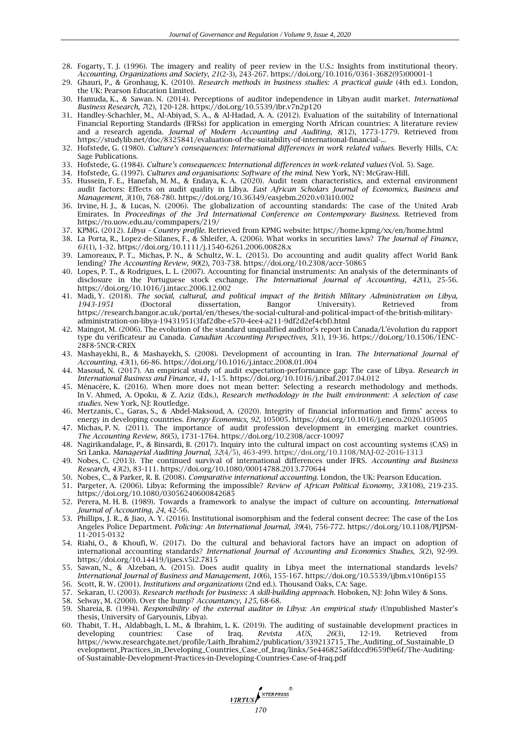- 28. Fogarty, T. J. (1996). The imagery and reality of peer review in the U.S.: Insights from institutional theory. *Accounting, Organizations and Society*, *21*(2-3), 243-267. https://doi.org/10.1016/0361-3682(95)00001-1
- 29. Ghauri, P., & Gronhaug, K. (2010). *Research methods in business studies: A practical guide* (4th ed.). London, the UK: Pearson Education Limited.
- 30. Hamuda, K., & Sawan. N. (2014). Perceptions of auditor independence in Libyan audit market. *International Business Research*, *7*(2), 120-128. https://doi.org/10.5539/ibr.v7n2p120
- 31. Handley-Schachler, M., Al-Abiyad, S. A., & Al-Hadad, A. A. (2012). Evaluation of the suitability of International Financial Reporting Standards (IFRSs) for application in emerging North African countries: A literature review and a research agenda. *Journal of Modern Accounting and Auditing*, *8*(12), 1773-1779. Retrieved from https://studylib.net/doc/8325841/evaluation-of-the-suitability-of-international-financial-...
- 32. Hofstede, G. (1980). *Culture's consequences: International differences in work related values.* Beverly Hills, CA: Sage Publications.
- 33. Hofstede, G. (1984). *Culture's consequences: International differences in work-related values* (Vol. 5). Sage.
- 34. Hofstede, G. (1997). *Cultures and organisations: Software of the mind*. New York, NY: McGraw-Hill.
- 35. Hussein, F. E., Hanefah, M. M., & Endaya, K. A. (2020). Audit team characteristics, and external environment audit factors: Effects on audit quality in Libya. *East African Scholars Journal of Economics, Business and Management*, *3*(10), 768-780. https://doi.org/10.36349/easjebm.2020.v03i10.002
- 36. Irvine, H. J., & Lucas, N. (2006). The globalization of accounting standards: The case of the United Arab Emirates. In *Proceedings of the 3rd International Conference on Contemporary Business*. Retrieved from https://ro.uow.edu.au/commpapers/219/
- 37. KPMG. (2012). *Libya – Country profile*. Retrieved from KPMG website: https://home.kpmg/xx/en/home.html
- 38. La Porta, R., Lopez-de-Silanes, F., & Shleifer, A. (2006). What works in securities laws? *The Journal of Finance*, *61*(1), 1-32. https://doi.org/10.1111/j.1540-6261.2006.00828.x
- 39. Lamoreaux, P. T., Michas, P. N., & Schultz, W. L. (2015). Do accounting and audit quality affect World Bank lending? *The Accounting Review*, *90*(2), 703-738. https://doi.org/10.2308/accr-50865
- 40. Lopes, P. T., & Rodrigues, L. L. (2007). Accounting for financial instruments: An analysis of the determinants of disclosure in the Portuguese stock exchange. *The International Journal of Accounting*, *42*(1), 25-56. https://doi.org/10.1016/j.intacc.2006.12.002
- 41. Madi, Y. (2018). *The social, cultural, and political impact of the British Military Administration on Libya, 1943-1951* (Doctoral dissertation, Bangor University). Retrieved from https://research.bangor.ac.uk/portal/en/theses/the-social-cultural-and-political-impact-of-the-british-militaryadministration-on-libya-19431951(3faf2dbe-e570-4ee4-a211-9df2d2ef4cbf).html
- 42. Maingot, M. (2006). The evolution of the standard unqualified auditor's report in Canada/L'évolution du rapport type du vérificateur au Canada. *Canadian Accounting Perspectives, 5*(1), 19-36. https://doi.org/10.1506/1ENC-28F8-5NCR-CREX
- 43. Mashayekhi, B., & Mashayekh, S. (2008). Development of accounting in Iran. *The International Journal of Accounting*, *43*(1), 66-86. https://doi.org/10.1016/j.intacc.2008.01.004
- 44. Masoud, N. (2017). An empirical study of audit expectation-performance gap: The case of Libya. *Research in International Business and Finance*, *41*, 1-15. https://doi.org/10.1016/j.ribaf.2017.04.012
- 45. Ménacère, K. (2016). When more does not mean better: Selecting a research methodology and methods. In V. Ahmed, A. Opoku, & Z. Aziz (Eds*.*), *Research methodology in the built environment: A selection of case studies.* New York, NJ: Routledge.
- 46. Mertzanis, C., Garas, S., & Abdel-Maksoud, A. (2020). Integrity of financial information and firms" access to energy in developing countries. *Energy Economics, 92*, 105005. https://doi.org/10.1016/j.eneco.2020.105005
- 47. Michas, P. N. (2011). The importance of audit profession development in emerging market countries. *The Accounting Review*, *86*(5), 1731-1764. https://doi.org/10.2308/accr-10097
- 48. Nagirikandalage, P., & Binsardi, B. (2017). Inquiry into the cultural impact on cost accounting systems (CAS) in Sri Lanka. *Managerial Auditing Journal*, *32*(4/5), 463-499. https://doi.org/10.1108/MAJ-02-2016-1313
- 49. Nobes, C. (2013). The continued survival of international differences under IFRS. *Accounting and Business Research, 43*(2), 83-111. https://doi.org/10.1080/00014788.2013.770644
- 50. Nobes, C., & Parker, R. B. (2008). *Comparative international accounting*. London, the UK: Pearson Education.
- 51. Pargeter, A. (2006). Libya: Reforming the impossible? *Review of African Political Economy*, *33*(108), 219-235. https://doi.org/10.1080/03056240600842685
- 52. Perera, M. H. B. (1989). Towards a framework to analyse the impact of culture on accounting. *International Journal of Accounting*, *24*, 42-56.
- 53. Phillips, J. R., & Jiao, A. Y. (2016). Institutional isomorphism and the federal consent decree: The case of the Los Angeles Police Department. *[Policing: An International Journal,](https://www.emerald.com/insight/publication/issn/1363-951X) 39*(4), 756-772. https://doi.org/10.1108/PIJPSM-11-2015-0132
- 54. Riahi, O., & Khoufi, W. (2017). Do the cultural and behavioral factors have an impact on adoption of international accounting standards? *International Journal of Accounting and Economics Studies*, *5*(2), 92-99. https://doi.org/10.14419/ijaes.v5i2.7815
- 55. Sawan, N., & Alzeban, A. (2015). Does audit quality in Libya meet the international standards levels? *International Journal of Business and Management*, *10*(6), 155-167. https://doi.org/10.5539/ijbm.v10n6p155
- 56. Scott, R. W. (2001). *Institutions and organizations* (2nd ed.). Thousand Oaks, CA: Sage.
- 57. Sekaran, U. (2003). *Research methods for business: A skill-building approach*. Hoboken, NJ: John Wiley & Sons.
- 58. Selway, M. (2000). Over the hump? *Accountancy*, *125*, 68-68.
- 59. Shareia, B. (1994). *Responsibility of the external auditor in Libya: An empirical study* (Unpublished Master"s thesis, University of Garyounis, Libya).
- 60. Thabit, T. H., Aldabbagh, L. M., & Ibrahim, L. K. (2019). The auditing of sustainable development practices in developing countries: Case of Iraq. *Revista AUS*, *26*(3), 12-19. Retrieved from https://www.researchgate.net/profile/Laith\_Ibrahim2/publication/339213715\_The\_Auditing\_of\_Sustainable\_D evelopment\_Practices\_in\_Developing\_Countries\_Case\_of\_Iraq/links/5e446825a6fdccd9659f9e6f/The-Auditingof-Sustainable-Development-Practices-in-Developing-Countries-Case-of-Iraq.pdf